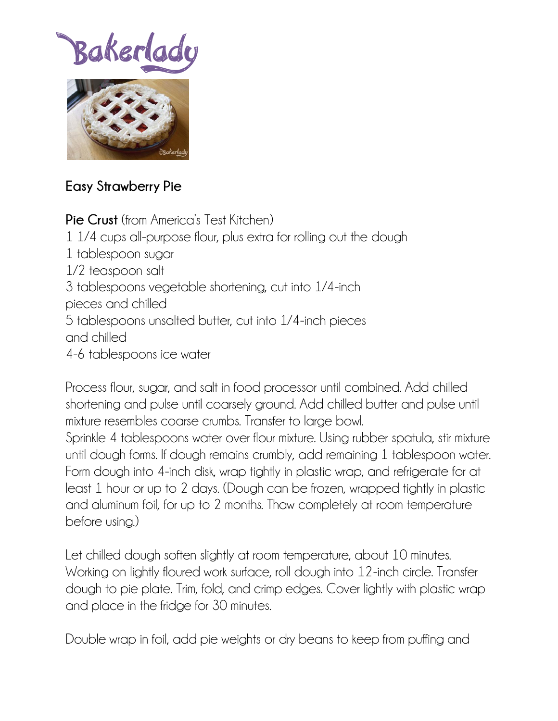## Bakerlad



## **Easy Strawberry Pie**

**Pie Crust** (from America's Test Kitchen) 1 1/4 cups all-purpose flour, plus extra for rolling out the dough 1 tablespoon sugar 1/2 teaspoon salt 3 tablespoons vegetable shortening, cut into 1/4-inch pieces and chilled 5 tablespoons unsalted butter, cut into 1/4-inch pieces and chilled 4-6 tablespoons ice water

Process flour, sugar, and salt in food processor until combined. Add chilled shortening and pulse until coarsely ground. Add chilled butter and pulse until mixture resembles coarse crumbs. Transfer to large bowl. Sprinkle 4 tablespoons water over flour mixture. Using rubber spatula, stir mixture until dough forms. If dough remains crumbly, add remaining 1 tablespoon water. Form dough into 4-inch disk, wrap tightly in plastic wrap, and refrigerate for at least 1 hour or up to 2 days. (Dough can be frozen, wrapped tightly in plastic and aluminum foil, for up to 2 months. Thaw completely at room temperature before using.)

Let chilled dough soften slightly at room temperature, about 10 minutes. Working on lightly floured work surface, roll dough into 12-inch circle. Transfer dough to pie plate. Trim, fold, and crimp edges. Cover lightly with plastic wrap and place in the fridge for 30 minutes.

Double wrap in foil, add pie weights or dry beans to keep from puffing and